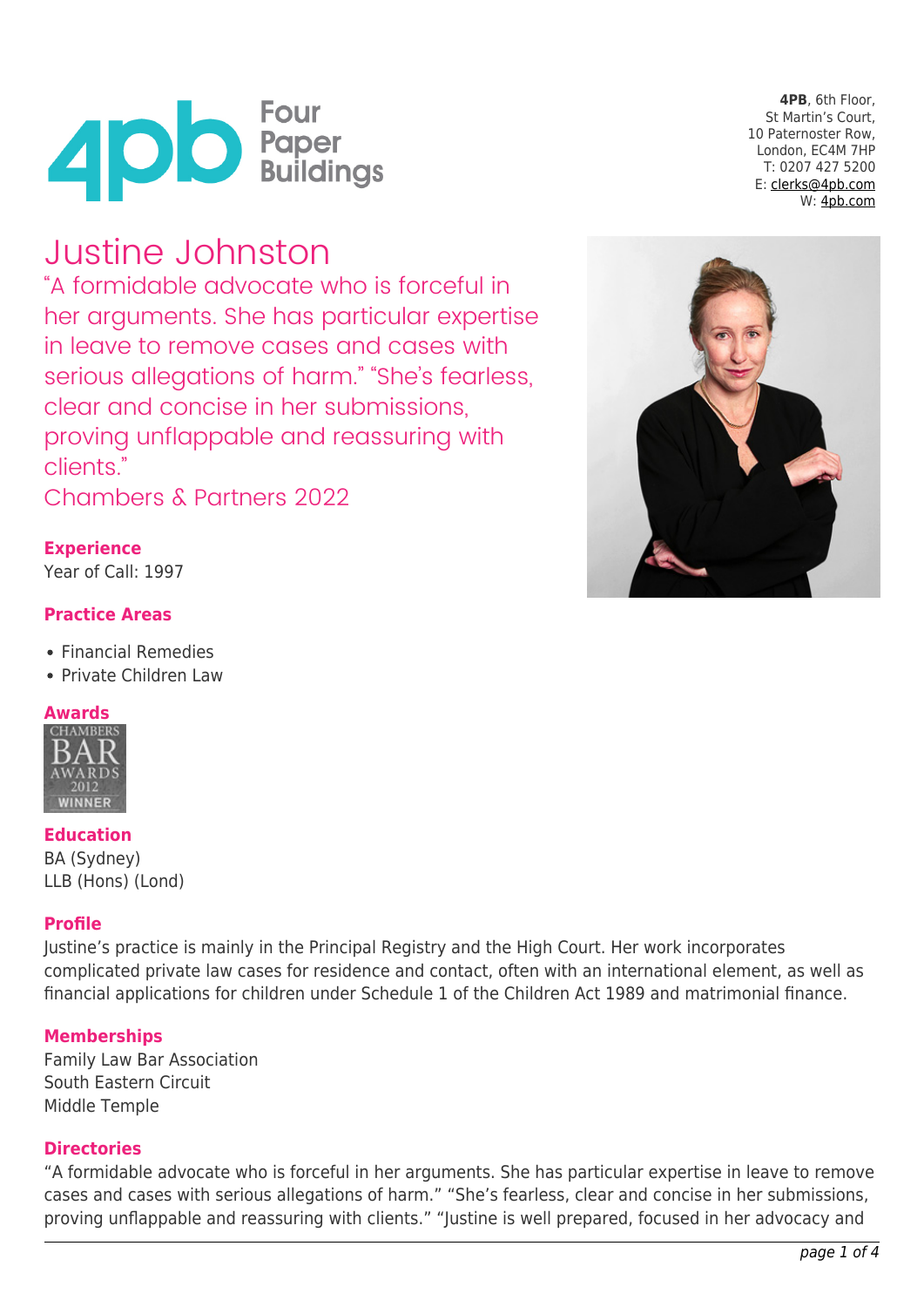

**4PB**, 6th Floor, St Martin's Court, 10 Paternoster Row, London, EC4M 7HP T: 0207 427 5200 E: [clerks@4pb.com](mailto:clerks@4pb.com) W: [4pb.com](http://4pb.com)

# Justine Johnston

"A formidable advocate who is forceful in her arguments. She has particular expertise in leave to remove cases and cases with serious allegations of harm." "She's fearless, clear and concise in her submissions, proving unflappable and reassuring with clients."

Chambers & Partners 2022

# **Experience**

Year of Call: 1997

### **Practice Areas**

- Financial Remedies
- Private Children Law

# **Awards**



**Education** BA (Sydney) LLB (Hons) (Lond)

#### **Profile**

Justine's practice is mainly in the Principal Registry and the High Court. Her work incorporates complicated private law cases for residence and contact, often with an international element, as well as financial applications for children under Schedule 1 of the Children Act 1989 and matrimonial finance.

#### **Memberships**

Family Law Bar Association South Eastern Circuit Middle Temple

#### **Directories**

"A formidable advocate who is forceful in her arguments. She has particular expertise in leave to remove cases and cases with serious allegations of harm." "She's fearless, clear and concise in her submissions, proving unflappable and reassuring with clients." "Justine is well prepared, focused in her advocacy and

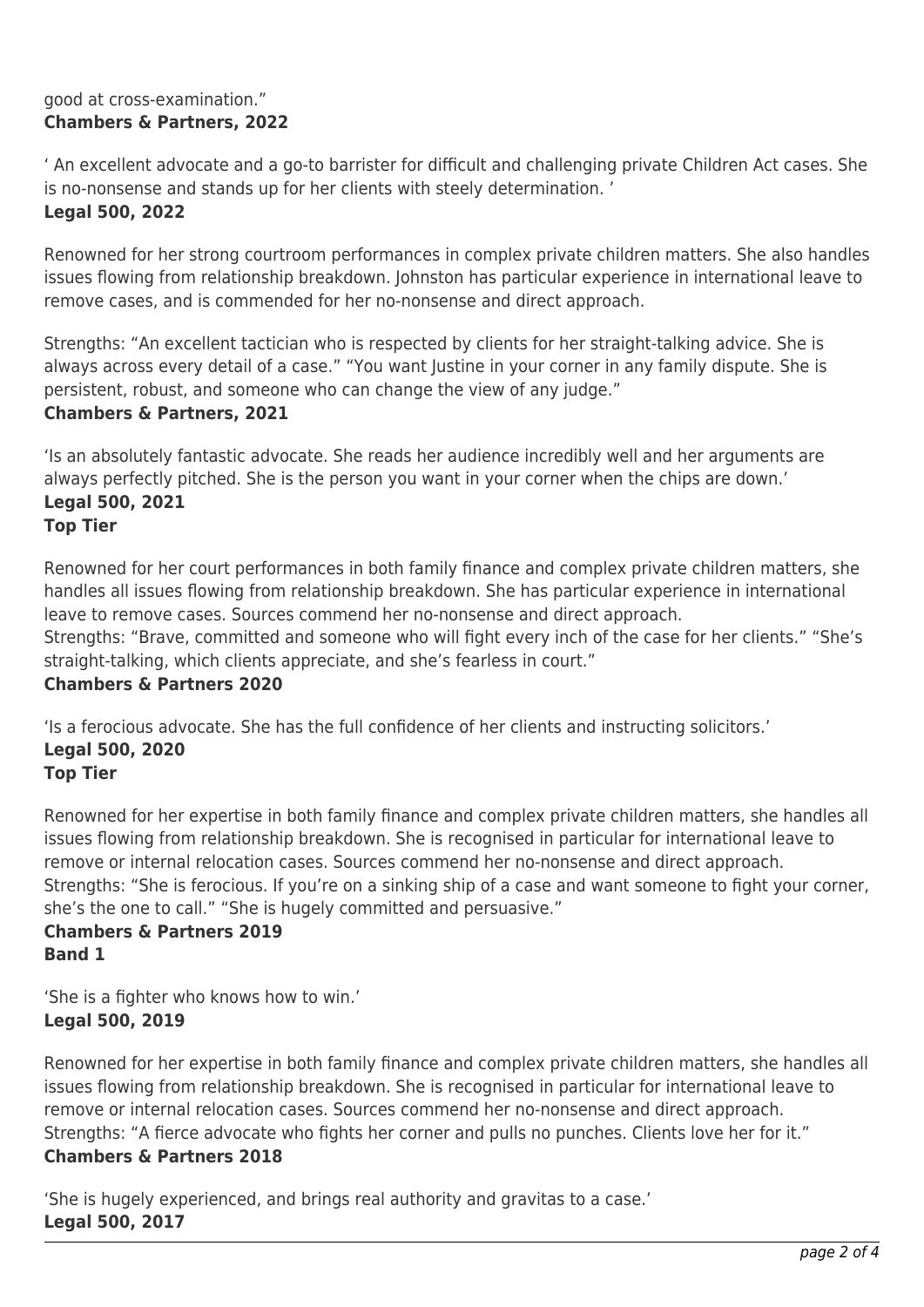#### good at cross-examination." **Chambers & Partners, 2022**

' An excellent advocate and a go-to barrister for difficult and challenging private Children Act cases. She is no-nonsense and stands up for her clients with steely determination. '

#### **Legal 500, 2022**

Renowned for her strong courtroom performances in complex private children matters. She also handles issues flowing from relationship breakdown. Johnston has particular experience in international leave to remove cases, and is commended for her no-nonsense and direct approach.

Strengths: "An excellent tactician who is respected by clients for her straight-talking advice. She is always across every detail of a case." "You want Justine in your corner in any family dispute. She is persistent, robust, and someone who can change the view of any judge." **Chambers & Partners, 2021**

'Is an absolutely fantastic advocate. She reads her audience incredibly well and her arguments are always perfectly pitched. She is the person you want in your corner when the chips are down.' **Legal 500, 2021**

# **Top Tier**

Renowned for her court performances in both family finance and complex private children matters, she handles all issues flowing from relationship breakdown. She has particular experience in international leave to remove cases. Sources commend her no-nonsense and direct approach.

Strengths: "Brave, committed and someone who will fight every inch of the case for her clients." "She's straight-talking, which clients appreciate, and she's fearless in court."

#### **Chambers & Partners 2020**

'Is a ferocious advocate. She has the full confidence of her clients and instructing solicitors.' **Legal 500, 2020**

#### **Top Tier**

Renowned for her expertise in both family finance and complex private children matters, she handles all issues flowing from relationship breakdown. She is recognised in particular for international leave to remove or internal relocation cases. Sources commend her no-nonsense and direct approach. Strengths: "She is ferocious. If you're on a sinking ship of a case and want someone to fight your corner, she's the one to call." "She is hugely committed and persuasive."

### **Chambers & Partners 2019 Band 1**

'She is a fighter who knows how to win.' **Legal 500, 2019**

Renowned for her expertise in both family finance and complex private children matters, she handles all issues flowing from relationship breakdown. She is recognised in particular for international leave to remove or internal relocation cases. Sources commend her no-nonsense and direct approach. Strengths: "A fierce advocate who fights her corner and pulls no punches. Clients love her for it." **Chambers & Partners 2018**

'She is hugely experienced, and brings real authority and gravitas to a case.' **Legal 500, 2017**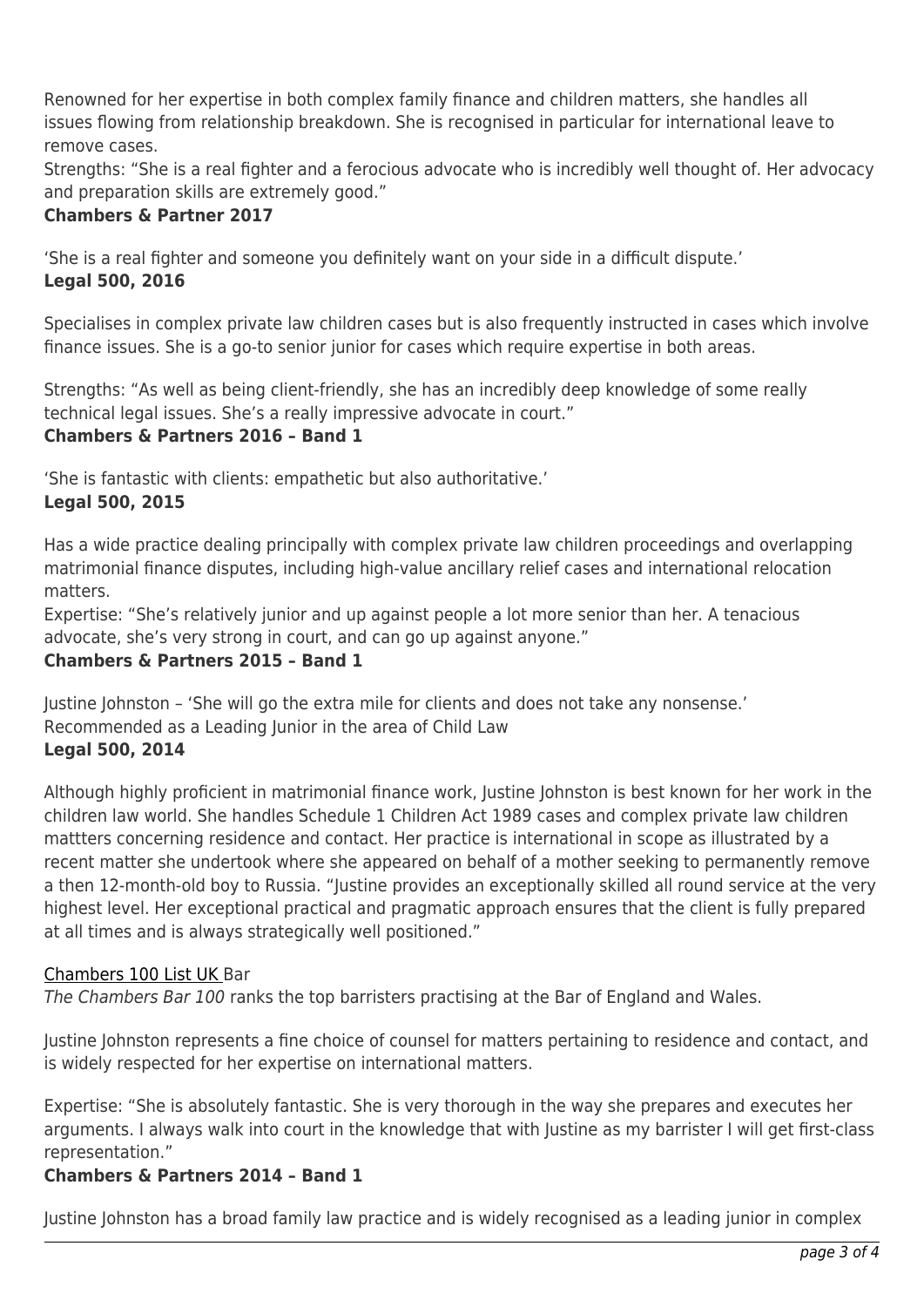Renowned for her expertise in both complex family finance and children matters, she handles all issues flowing from relationship breakdown. She is recognised in particular for international leave to remove cases.

Strengths: "She is a real fighter and a ferocious advocate who is incredibly well thought of. Her advocacy and preparation skills are extremely good."

### **Chambers & Partner 2017**

'She is a real fighter and someone you definitely want on your side in a difficult dispute.' **Legal 500, 2016**

Specialises in complex private law children cases but is also frequently instructed in cases which involve finance issues. She is a go-to senior junior for cases which require expertise in both areas.

Strengths: "As well as being client-friendly, she has an incredibly deep knowledge of some really technical legal issues. She's a really impressive advocate in court."

# **Chambers & Partners 2016 – Band 1**

'She is fantastic with clients: empathetic but also authoritative.'

### **Legal 500, 2015**

Has a wide practice dealing principally with complex private law children proceedings and overlapping matrimonial finance disputes, including high-value ancillary relief cases and international relocation matters.

Expertise: "She's relatively junior and up against people a lot more senior than her. A tenacious advocate, she's very strong in court, and can go up against anyone."

## **Chambers & Partners 2015 – Band 1**

Justine Johnston – 'She will go the extra mile for clients and does not take any nonsense.' Recommended as a Leading Junior in the area of Child Law **Legal 500, 2014**

Although highly proficient in matrimonial finance work, Justine Johnston is best known for her work in the children law world. She handles Schedule 1 Children Act 1989 cases and complex private law children mattters concerning residence and contact. Her practice is international in scope as illustrated by a recent matter she undertook where she appeared on behalf of a mother seeking to permanently remove a then 12-month-old boy to Russia. "Justine provides an exceptionally skilled all round service at the very highest level. Her exceptional practical and pragmatic approach ensures that the client is fully prepared at all times and is always strategically well positioned."

#### [Chambers 100 List UK B](http://www.chambersandpartners.com/uk-bar-100-juniors-results)ar

The Chambers Bar 100 ranks the top barristers practising at the Bar of England and Wales.

Justine Johnston represents a fine choice of counsel for matters pertaining to residence and contact, and is widely respected for her expertise on international matters.

Expertise: "She is absolutely fantastic. She is very thorough in the way she prepares and executes her arguments. I always walk into court in the knowledge that with Justine as my barrister I will get first-class representation."

#### **Chambers & Partners 2014 – Band 1**

Justine Johnston has a broad family law practice and is widely recognised as a leading junior in complex